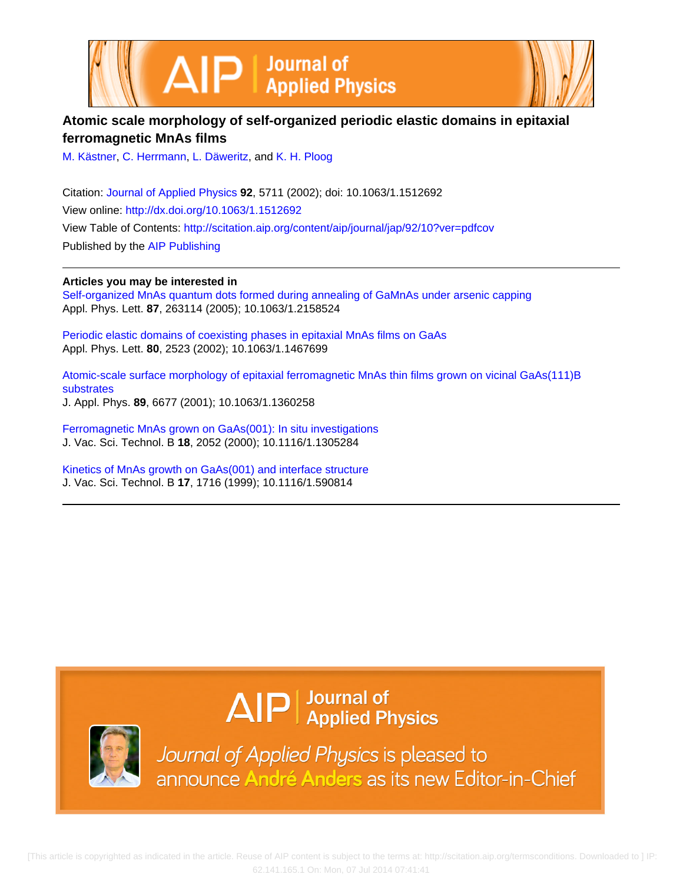



## **Atomic scale morphology of self-organized periodic elastic domains in epitaxial ferromagnetic MnAs films**

[M. Kästner](http://scitation.aip.org/search?value1=M.+K�stner&option1=author), [C. Herrmann](http://scitation.aip.org/search?value1=C.+Herrmann&option1=author), [L. Däweritz,](http://scitation.aip.org/search?value1=L.+D�weritz&option1=author) and [K. H. Ploog](http://scitation.aip.org/search?value1=K.+H.+Ploog&option1=author)

Citation: [Journal of Applied Physics](http://scitation.aip.org/content/aip/journal/jap?ver=pdfcov) **92**, 5711 (2002); doi: 10.1063/1.1512692 View online: <http://dx.doi.org/10.1063/1.1512692> View Table of Contents: <http://scitation.aip.org/content/aip/journal/jap/92/10?ver=pdfcov> Published by the [AIP Publishing](http://scitation.aip.org/content/aip?ver=pdfcov)

**Articles you may be interested in**

[Self-organized MnAs quantum dots formed during annealing of GaMnAs under arsenic capping](http://scitation.aip.org/content/aip/journal/apl/87/26/10.1063/1.2158524?ver=pdfcov) Appl. Phys. Lett. **87**, 263114 (2005); 10.1063/1.2158524

[Periodic elastic domains of coexisting phases in epitaxial MnAs films on GaAs](http://scitation.aip.org/content/aip/journal/apl/80/14/10.1063/1.1467699?ver=pdfcov) Appl. Phys. Lett. **80**, 2523 (2002); 10.1063/1.1467699

[Atomic-scale surface morphology of epitaxial ferromagnetic MnAs thin films grown on vicinal GaAs\(111\)B](http://scitation.aip.org/content/aip/journal/jap/89/11/10.1063/1.1360258?ver=pdfcov) [substrates](http://scitation.aip.org/content/aip/journal/jap/89/11/10.1063/1.1360258?ver=pdfcov) J. Appl. Phys. **89**, 6677 (2001); 10.1063/1.1360258

[Ferromagnetic MnAs grown on GaAs\(001\): In situ investigations](http://scitation.aip.org/content/avs/journal/jvstb/18/4/10.1116/1.1305284?ver=pdfcov) J. Vac. Sci. Technol. B **18**, 2052 (2000); 10.1116/1.1305284

[Kinetics of MnAs growth on GaAs\(001\) and interface structure](http://scitation.aip.org/content/avs/journal/jvstb/17/4/10.1116/1.590814?ver=pdfcov) J. Vac. Sci. Technol. B **17**, 1716 (1999); 10.1116/1.590814

# $\Delta$   $\vert P \vert$  Journal of Applied Physics



Journal of Applied Physics is pleased to announce André Anders as its new Editor-in-Chief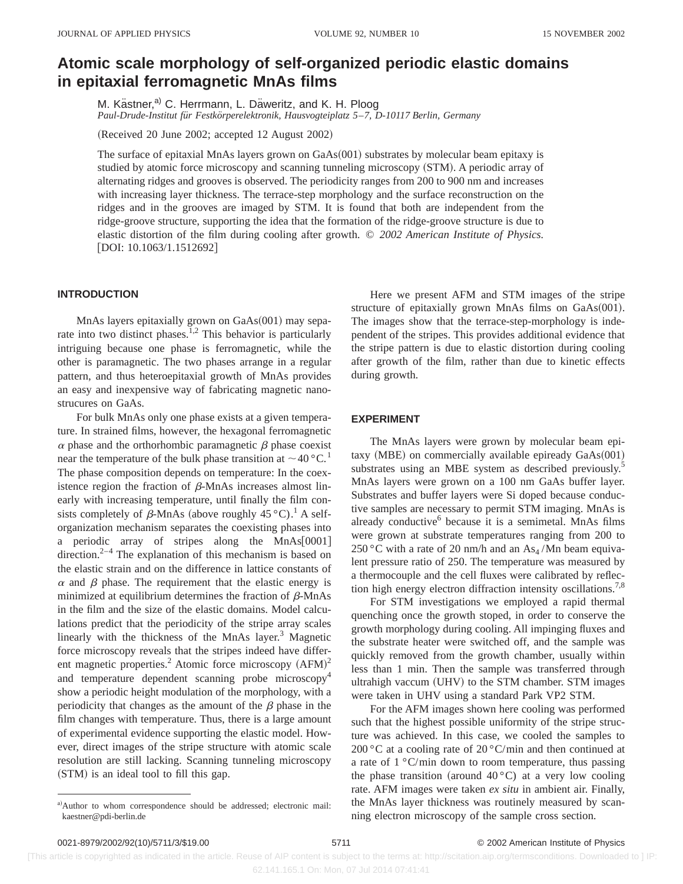# **Atomic scale morphology of self-organized periodic elastic domains in epitaxial ferromagnetic MnAs films**

M. Kästner,<sup>a)</sup> C. Herrmann, L. Däweritz, and K. H. Ploog *Paul-Drude-Institut fu¨r Festko¨rperelektronik, Hausvogteiplatz 5*–*7, D-10117 Berlin, Germany*

(Received 20 June 2002; accepted 12 August 2002)

The surface of epitaxial MnAs layers grown on  $GaAs(001)$  substrates by molecular beam epitaxy is studied by atomic force microscopy and scanning tunneling microscopy (STM). A periodic array of alternating ridges and grooves is observed. The periodicity ranges from 200 to 900 nm and increases with increasing layer thickness. The terrace-step morphology and the surface reconstruction on the ridges and in the grooves are imaged by STM. It is found that both are independent from the ridge-groove structure, supporting the idea that the formation of the ridge-groove structure is due to elastic distortion of the film during cooling after growth. © *2002 American Institute of Physics.*  $[DOI: 10.1063/1.1512692]$ 

### **INTRODUCTION**

MnAs layers epitaxially grown on  $GaAs(001)$  may separate into two distinct phases.<sup>1,2</sup> This behavior is particularly intriguing because one phase is ferromagnetic, while the other is paramagnetic. The two phases arrange in a regular pattern, and thus heteroepitaxial growth of MnAs provides an easy and inexpensive way of fabricating magnetic nanostrucures on GaAs.

For bulk MnAs only one phase exists at a given temperature. In strained films, however, the hexagonal ferromagnetic  $\alpha$  phase and the orthorhombic paramagnetic  $\beta$  phase coexist near the temperature of the bulk phase transition at  $\sim$  40 °C.<sup>1</sup> The phase composition depends on temperature: In the coexistence region the fraction of  $\beta$ -MnAs increases almost linearly with increasing temperature, until finally the film consists completely of  $\beta$ -MnAs (above roughly 45 °C).<sup>1</sup> A selforganization mechanism separates the coexisting phases into a periodic array of stripes along the  $MnAs[0001]$ direction. $2^{-4}$  The explanation of this mechanism is based on the elastic strain and on the difference in lattice constants of  $\alpha$  and  $\beta$  phase. The requirement that the elastic energy is minimized at equilibrium determines the fraction of  $\beta$ -MnAs in the film and the size of the elastic domains. Model calculations predict that the periodicity of the stripe array scales linearly with the thickness of the MnAs layer. $3$  Magnetic force microscopy reveals that the stripes indeed have different magnetic properties.<sup>2</sup> Atomic force microscopy  $(AFM)^2$ and temperature dependent scanning probe microscopy<sup>4</sup> show a periodic height modulation of the morphology, with a periodicity that changes as the amount of the  $\beta$  phase in the film changes with temperature. Thus, there is a large amount of experimental evidence supporting the elastic model. However, direct images of the stripe structure with atomic scale resolution are still lacking. Scanning tunneling microscopy (STM) is an ideal tool to fill this gap.

Here we present AFM and STM images of the stripe structure of epitaxially grown MnAs films on  $GaAs(001)$ . The images show that the terrace-step-morphology is independent of the stripes. This provides additional evidence that the stripe pattern is due to elastic distortion during cooling after growth of the film, rather than due to kinetic effects during growth.

#### **EXPERIMENT**

The MnAs layers were grown by molecular beam epitaxy  $(MBE)$  on commercially available epiready  $GaAs(001)$ substrates using an MBE system as described previously.<sup>5</sup> MnAs layers were grown on a 100 nm GaAs buffer layer. Substrates and buffer layers were Si doped because conductive samples are necessary to permit STM imaging. MnAs is already conductive $<sup>6</sup>$  because it is a semimetal. MnAs films</sup> were grown at substrate temperatures ranging from 200 to 250 °C with a rate of 20 nm/h and an  $As<sub>4</sub>$ /Mn beam equivalent pressure ratio of 250. The temperature was measured by a thermocouple and the cell fluxes were calibrated by reflection high energy electron diffraction intensity oscillations.<sup>7,8</sup>

For STM investigations we employed a rapid thermal quenching once the growth stoped, in order to conserve the growth morphology during cooling. All impinging fluxes and the substrate heater were switched off, and the sample was quickly removed from the growth chamber, usually within less than 1 min. Then the sample was transferred through ultrahigh vaccum (UHV) to the STM chamber. STM images were taken in UHV using a standard Park VP2 STM.

For the AFM images shown here cooling was performed such that the highest possible uniformity of the stripe structure was achieved. In this case, we cooled the samples to 200 °C at a cooling rate of 20 °C/min and then continued at a rate of  $1 \degree C$ /min down to room temperature, thus passing the phase transition (around  $40^{\circ}$ C) at a very low cooling rate. AFM images were taken *ex situ* in ambient air. Finally, the MnAs layer thickness was routinely measured by scanning electron microscopy of the sample cross section.

 [This article is copyrighted as indicated in the article. Reuse of AIP content is subject to the terms at: http://scitation.aip.org/termsconditions. Downloaded to ] IP: 62.141.165.1 On: Mon, 07 Jul 2014 07:41:41

a)Author to whom correspondence should be addressed; electronic mail: kaestner@pdi-berlin.de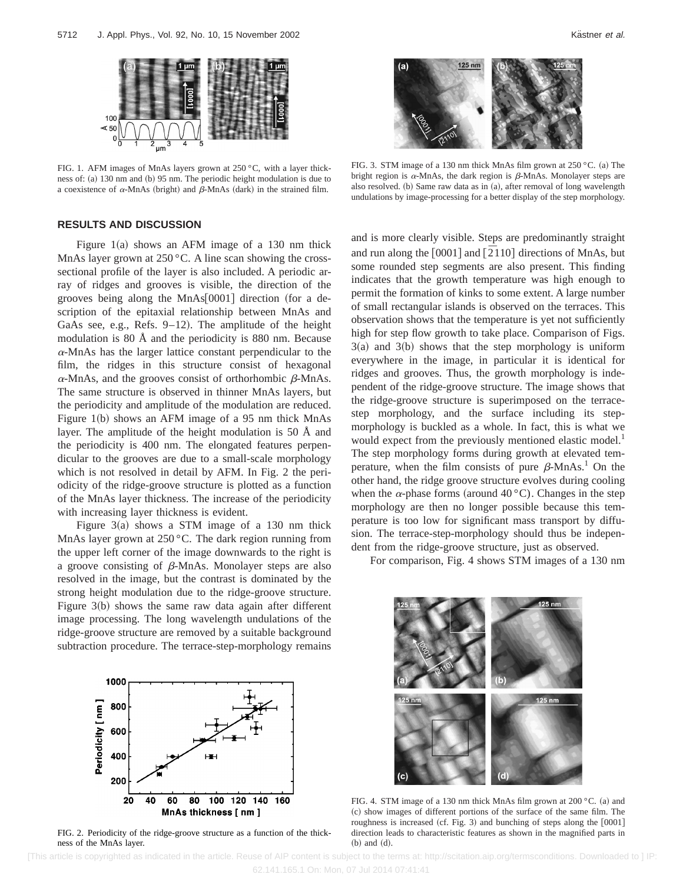

FIG. 1. AFM images of MnAs layers grown at 250 °C, with a layer thickness of: (a) 130 nm and (b) 95 nm. The periodic height modulation is due to a coexistence of  $\alpha$ -MnAs (bright) and  $\beta$ -MnAs (dark) in the strained film.

## **RESULTS AND DISCUSSION**

Figure  $1(a)$  shows an AFM image of a 130 nm thick MnAs layer grown at  $250^{\circ}$ C. A line scan showing the crosssectional profile of the layer is also included. A periodic array of ridges and grooves is visible, the direction of the grooves being along the  $MnAs[0001]$  direction (for a description of the epitaxial relationship between MnAs and GaAs see, e.g., Refs.  $9-12$ ). The amplitude of the height modulation is 80 Å and the periodicity is 880 nm. Because  $\alpha$ -MnAs has the larger lattice constant perpendicular to the film, the ridges in this structure consist of hexagonal  $\alpha$ -MnAs, and the grooves consist of orthorhombic  $\beta$ -MnAs. The same structure is observed in thinner MnAs layers, but the periodicity and amplitude of the modulation are reduced. Figure 1(b) shows an AFM image of a 95 nm thick MnAs layer. The amplitude of the height modulation is 50 Å and the periodicity is 400 nm. The elongated features perpendicular to the grooves are due to a small-scale morphology which is not resolved in detail by AFM. In Fig. 2 the periodicity of the ridge-groove structure is plotted as a function of the MnAs layer thickness. The increase of the periodicity with increasing layer thickness is evident.

Figure  $3(a)$  shows a STM image of a 130 nm thick MnAs layer grown at 250 °C. The dark region running from the upper left corner of the image downwards to the right is a groove consisting of  $\beta$ -MnAs. Monolayer steps are also resolved in the image, but the contrast is dominated by the strong height modulation due to the ridge-groove structure. Figure  $3(b)$  shows the same raw data again after different image processing. The long wavelength undulations of the ridge-groove structure are removed by a suitable background subtraction procedure. The terrace-step-morphology remains



FIG. 2. Periodicity of the ridge-groove structure as a function of the thickness of the MnAs layer.



FIG. 3. STM image of a 130 nm thick MnAs film grown at  $250^{\circ}$ C. (a) The bright region is  $\alpha$ -MnAs, the dark region is  $\beta$ -MnAs. Monolayer steps are also resolved.  $(b)$  Same raw data as in  $(a)$ , after removal of long wavelength undulations by image-processing for a better display of the step morphology.

and is more clearly visible. Steps are predominantly straight and run along the  $[0001]$  and  $[2110]$  directions of MnAs, but some rounded step segments are also present. This finding indicates that the growth temperature was high enough to permit the formation of kinks to some extent. A large number of small rectangular islands is observed on the terraces. This observation shows that the temperature is yet not sufficiently high for step flow growth to take place. Comparison of Figs.  $3(a)$  and  $3(b)$  shows that the step morphology is uniform everywhere in the image, in particular it is identical for ridges and grooves. Thus, the growth morphology is independent of the ridge-groove structure. The image shows that the ridge-groove structure is superimposed on the terracestep morphology, and the surface including its stepmorphology is buckled as a whole. In fact, this is what we would expect from the previously mentioned elastic model.<sup>1</sup> The step morphology forms during growth at elevated temperature, when the film consists of pure  $\beta$ -MnAs.<sup>1</sup> On the other hand, the ridge groove structure evolves during cooling when the  $\alpha$ -phase forms (around 40 °C). Changes in the step morphology are then no longer possible because this temperature is too low for significant mass transport by diffusion. The terrace-step-morphology should thus be independent from the ridge-groove structure, just as observed.

For comparison, Fig. 4 shows STM images of a 130 nm



FIG. 4. STM image of a 130 nm thick MnAs film grown at  $200 °C$ . (a) and ~c! show images of different portions of the surface of the same film. The roughness is increased (cf. Fig. 3) and bunching of steps along the  $[0001]$ direction leads to characteristic features as shown in the magnified parts in  $(b)$  and  $(d)$ .

 [This article is copyrighted as indicated in the article. Reuse of AIP content is subject to the terms at: http://scitation.aip.org/termsconditions. Downloaded to ] IP: 62.141.165.1 On: Mon, 07 Jul 2014 07:41:41